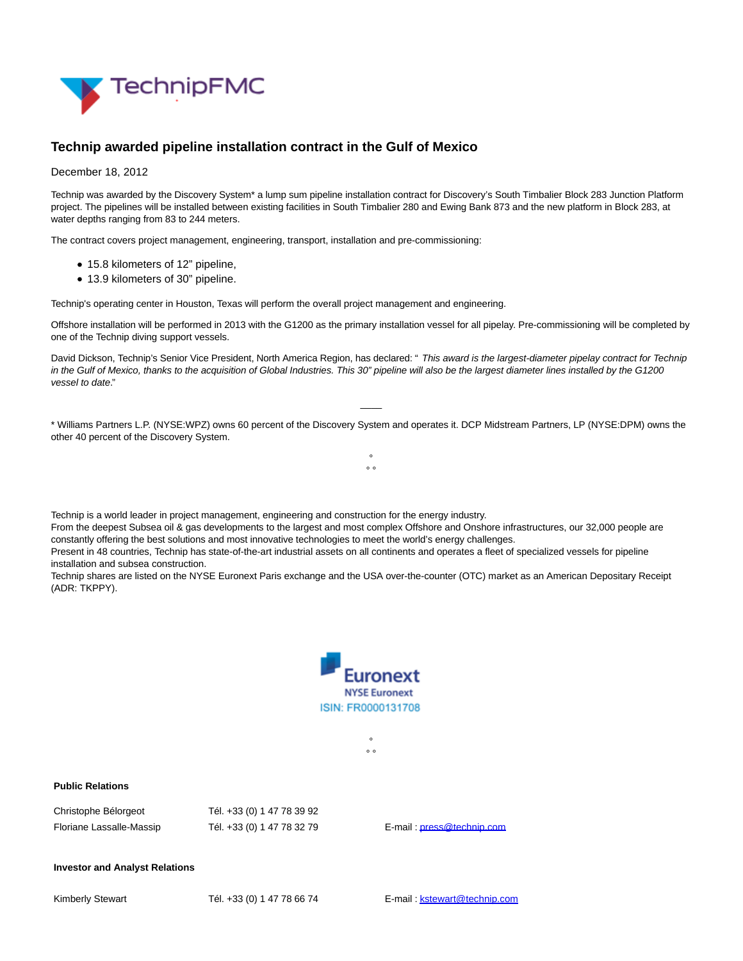

## **Technip awarded pipeline installation contract in the Gulf of Mexico**

## December 18, 2012

Technip was awarded by the Discovery System\* a lump sum pipeline installation contract for Discovery's South Timbalier Block 283 Junction Platform project. The pipelines will be installed between existing facilities in South Timbalier 280 and Ewing Bank 873 and the new platform in Block 283, at water depths ranging from 83 to 244 meters.

The contract covers project management, engineering, transport, installation and pre-commissioning:

- 15.8 kilometers of 12" pipeline,
- 13.9 kilometers of 30" pipeline.

Technip's operating center in Houston, Texas will perform the overall project management and engineering.

Technip is a world leader in project management, engineering and construction for the energy industry.

constantly offering the best solutions and most innovative technologies to meet the world's energy challenges.

Offshore installation will be performed in 2013 with the G1200 as the primary installation vessel for all pipelay. Pre-commissioning will be completed by one of the Technip diving support vessels.

David Dickson, Technip's Senior Vice President, North America Region, has declared: " This award is the largest-diameter pipelay contract for Technip in the Gulf of Mexico, thanks to the acquisition of Global Industries. This 30" pipeline will also be the largest diameter lines installed by the G1200 vessel to date."

\* Williams Partners L.P. (NYSE:WPZ) owns 60 percent of the Discovery System and operates it. DCP Midstream Partners, LP (NYSE:DPM) owns the other 40 percent of the Discovery System.

> °  $\circ$

From the deepest Subsea oil & gas developments to the largest and most complex Offshore and Onshore infrastructures, our 32,000 people are

Technip shares are listed on the NYSE Euronext Paris exchange and the USA over-the-counter (OTC) market as an American Depositary Receipt

Present in 48 countries, Technip has state-of-the-art industrial assets on all continents and operates a fleet of specialized vessels for pipeline

 $\overline{\phantom{a}}$ 



°  $\circ$ 

**Public Relations**

(ADR: TKPPY).

| Christophe Bélorgeot     | Tél. +33 (0) 1 47 78 39 92 |
|--------------------------|----------------------------|
| Floriane Lassalle-Massip | Tél. +33 (0) 1 47 78 32 79 |

E-mail[: press@technip.com](mailto:press@technip.com)

## **Investor and Analyst Relations**

installation and subsea construction.